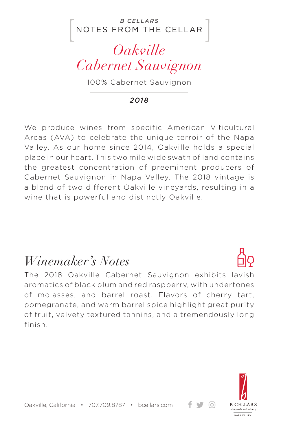NOTES FROM THE CELLAR *B CELLARS*

## *Oakville Cabernet Sauvignon*

100% Cabernet Sauvignon

#### *2018*

We produce wines from specific American Viticultural Areas (AVA) to celebrate the unique terroir of the Napa Valley. As our home since 2014, Oakville holds a special place in our heart. This two mile wide swath of land contains the greatest concentration of preeminent producers of Cabernet Sauvignon in Napa Valley. The 2018 vintage is a blend of two different Oakville vineyards, resulting in a wine that is powerful and distinctly Oakville.

### *Winemaker's Notes*

The 2018 Oakville Cabernet Sauvignon exhibits lavish aromatics of black plum and red raspberry, with undertones of molasses, and barrel roast. Flavors of cherry tart, pomegranate, and warm barrel spice highlight great purity of fruit, velvety textured tannins, and a tremendously long finish.



+ ਚ ⊙